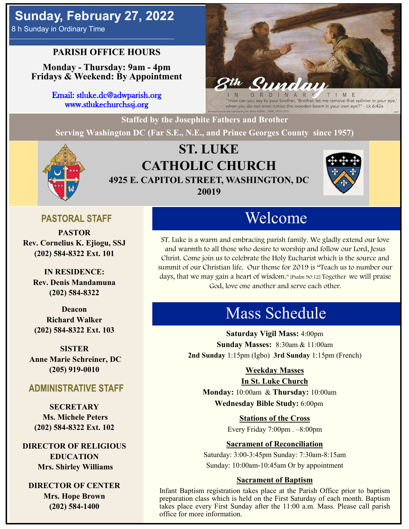# **Sunday, February 27, 2022**

8 h Sunday in Ordinary Time

## **PARISH OFFICE HOURS**

**Monday - Thursday: 9am - 4pm Fridays & Weekend: By Appointment**

> Email: stluke.dc@adwparish.org www.stlukechurchssj.org

r brother, 'Brother, let me remove that splinter in your eye,' when you do not even notice the wooden beam in your own eye?" - Lk 6:42a

**Staffed by the Josephite Fathers and Brother**

**Serving Washington DC (Far S.E., N.E., and Prince Georges County since 1957)**



## **ST. LUKE CATHOLIC CHURCH 4925 E. CAPITOL STREET, WASHINGTON, DC 20019**



## **PASTORAL STAFF**

**PASTOR Rev. Cornelius K. Ejiogu, SSJ (202) 584-8322 Ext. 101**

**IN RESIDENCE: Rev. Denis Mandamuna (202) 584-8322** 

**Deacon Richard Walker (202) 584-8322 Ext. 103**

**SISTER Anne Marie Schreiner, DC (205) 919-0010**

#### **ADMINISTRATIVE STAFF**

**SECRETARY Ms. Michele Peters (202) 584-8322 Ext. 102**

**DIRECTOR OF RELIGIOUS EDUCATION Mrs. Shirley Williams**

**DIRECTOR OF CENTER Mrs. Hope Brown (202) 584-1400**

# Welcome

ST. Luke is a warm and embracing parish family. We gladly extend our love and warmth to all those who desire to worship and follow our Lord, Jesus Christ. Come join us to celebrate the Holy Eucharist which is the source and summit of our Christian life. Our theme for 2019 is "Teach us to number our days, that we may gain a heart of wisdom." [Psalm 90:12] Together we will praise God, love one another and serve each other.

# Mass Schedule

**Saturday Vigil Mass:** 4:00pm **Sunday Masses:** 8:30am & 11:00am **2nd Sunday** 1:15pm (Igbo) **3rd Sunday** 1:15pm (French)

#### **Weekday Masses**

#### **In St. Luke Church**

**Monday:** 10:00am & **Thursday:** 10:00am **Wednesday Bible Study:** 6:00pm

**Stations of the Cross**

Every Friday 7:00pm . –8:00pm

#### **Sacrament of Reconciliation**

Saturday: 3:00-3:45pm Sunday: 7:30am-8:15am Sunday: 10:00am-10:45am Or by appointment

#### **Sacrament of Baptism**

Infant Baptism registration takes place at the Parish Office prior to baptism preparation class which is held on the First Saturday of each month. Baptism takes place every First Sunday after the 11:00 a.m. Mass. Please call parish office for more information.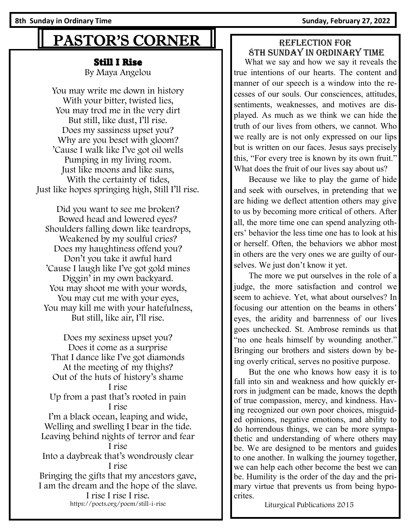# PASTOR'S CORNER

#### Still I Rise

By Maya Angelou

You may write me down in history With your bitter, twisted lies, You may trod me in the very dirt But still, like dust, I'll rise. Does my sassiness upset you? Why are you beset with gloom? 'Cause I walk like I've got oil wells Pumping in my living room. Just like moons and like suns, With the certainty of tides, Just like hopes springing high, Still I'll rise.

Did you want to see me broken? Bowed head and lowered eyes? Shoulders falling down like teardrops, Weakened by my soulful cries? Does my haughtiness offend you? Don't you take it awful hard 'Cause I laugh like I've got gold mines Diggin' in my own backyard. You may shoot me with your words, You may cut me with your eyes, You may kill me with your hatefulness, But still, like air, I'll rise.

Does my sexiness upset you? Does it come as a surprise That I dance like I've got diamonds At the meeting of my thighs? Out of the huts of history's shame I rise Up from a past that's rooted in pain I rise I'm a black ocean, leaping and wide, Welling and swelling I bear in the tide. Leaving behind nights of terror and fear I rise Into a daybreak that's wondrously clear I rise Bringing the gifts that my ancestors gave, I am the dream and the hope of the slave. I rise I rise I rise.

https://poets.org/poem/still-i-rise

#### Reflection for 8th Sunday in Ordinary time

 What we say and how we say it reveals the true intentions of our hearts. The content and manner of our speech is a window into the recesses of our souls. Our consciences, attitudes, sentiments, weaknesses, and motives are displayed. As much as we think we can hide the truth of our lives from others, we cannot. Who we really are is not only expressed on our lips but is written on our faces. Jesus says precisely this, "For every tree is known by its own fruit." What does the fruit of our lives say about us?

 Because we like to play the game of hide and seek with ourselves, in pretending that we are hiding we deflect attention others may give to us by becoming more critical of others. After all, the more time one can spend analyzing others' behavior the less time one has to look at his or herself. Often, the behaviors we abhor most in others are the very ones we are guilty of ourselves. We just don't know it yet.

 The more we put ourselves in the role of a judge, the more satisfaction and control we seem to achieve. Yet, what about ourselves? In focusing our attention on the beams in others' eyes, the aridity and barrenness of our lives goes unchecked. St. Ambrose reminds us that "no one heals himself by wounding another." Bringing our brothers and sisters down by being overly critical, serves no positive purpose.

 But the one who knows how easy it is to fall into sin and weakness and how quickly errors in judgment can be made, knows the depth of true compassion, mercy, and kindness. Having recognized our own poor choices, misguided opinions, negative emotions, and ability to do horrendous things, we can be more sympathetic and understanding of where others may be. We are designed to be mentors and guides to one another. In walking the journey together, we can help each other become the best we can be. Humility is the order of the day and the primary virtue that prevents us from being hypocrites.

Liturgical Publications 2015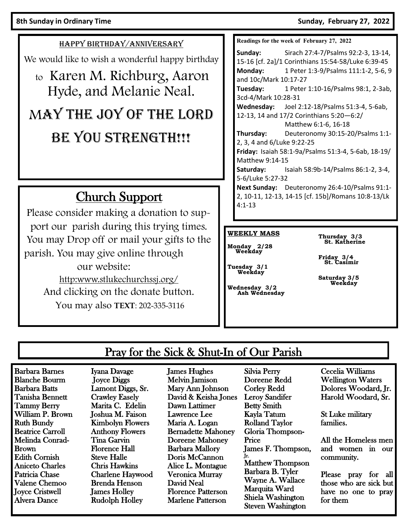HAPPY BIRTHDAY/ANNIVERSARY

We would like to wish a wonderful happy birthday

# to Karen M. Richburg, Aaron Hyde, and Melanie Neal. MAY THE JOY OF THE LORD BE YOU STRENGTH!!!

# Church Support

Please consider making a donation to support our parish during this trying times. You may Drop off or mail your gifts to the parish. You may give online through our website: http:www.stlukechurchssj.org/ And clicking on the donate button. You may also **TEXT**: 202-335-3116

**Readings for the week of February 27, 2022**

**Sunday:** Sirach 27:4-7/Psalms 92:2-3, 13-14, 15-16 [cf. 2a]/1 Corinthians 15:54-58/Luke 6:39-45 **Monday:** 1 Peter 1:3-9/Psalms 111:1-2, 5-6, 9 and 10c/Mark 10:17-27 **Tuesday:** 1 Peter 1:10-16/Psalms 98:1, 2-3ab, 3cd-4/Mark 10:28-31 **Wednesday:** Joel 2:12-18/Psalms 51:3-4, 5-6ab, 12-13, 14 and 17/2 Corinthians 5:20—6:2/ Matthew 6:1-6, 16-18 **Thursday:** Deuteronomy 30:15-20/Psalms 1:1- 2, 3, 4 and 6/Luke 9:22-25 **Friday:** Isaiah 58:1-9a/Psalms 51:3-4, 5-6ab, 18-19/ Matthew 9:14-15 **Saturday:** Isaiah 58:9b-14/Psalms 86:1-2, 3-4, 5-6/Luke 5:27-32 **Next Sunday:** Deuteronomy 26:4-10/Psalms 91:1- 2, 10-11, 12-13, 14-15 [cf. 15b]/Romans 10:8-13/Lk 4:1-13

#### **WEEKLY MASS**

**Monday 2/28 Weekday**

**Thursday 3/3 St. Katherine**

**Friday 3/4 St. Casimir**

**Saturday 3/5 Weekday**

## **Tuesday 3/1 Weekday**

**Wednesday 3/2 Ash Wednesday**

## Pray for the Sick & Shut-In of Our Parish

Barbara Barnes Blanche Bourm Barbara Batts Tanisha Bennett Tammy Berry William P. Brown Ruth Bundy Beatrice Carroll Melinda Conrad-Brown Edith Cornish Aniceto Charles Patricia Chase Valene Chemoo Joyce Cristwell Alvera Dance

Iyana Davage Joyce Diggs Lamont Diggs, Sr. Crawley Easely Marita C. Edelin Joshua M. Faison Kimbolyn Flowers Anthony Flowers Tina Garvin Florence Hall Steve Halle Chris Hawkins Charlene Haywood Brenda Henson James Holley Rudolph Holley

James Hughes Melvin Jamison Mary Ann Johnson David & Keisha Jones Dawn Lattimer Lawrence Lee Maria A. Logan Bernadette Mahoney Doreene Mahoney Barbara Mallory Doris McCannon Alice L. Montague Veronica Murray David Neal Florence Patterson Marlene Patterson

Silvia Perry Doreene Redd Corley Redd Leroy Sandifer Betty Smith Kayla Tatum Rolland Taylor Gloria Thompson-Price James F. Thompson, Jr. Matthew Thompson Barbara B. Tyler Wayne A. Wallace Marquita Ward Shiela Washington Steven Washington

Cecelia Williams Wellington Waters Dolores Woodard, Jr. Harold Woodard, Sr.

St Luke military families.

All the Homeless men and women in our community.

Please pray for all those who are sick but have no one to pray for them